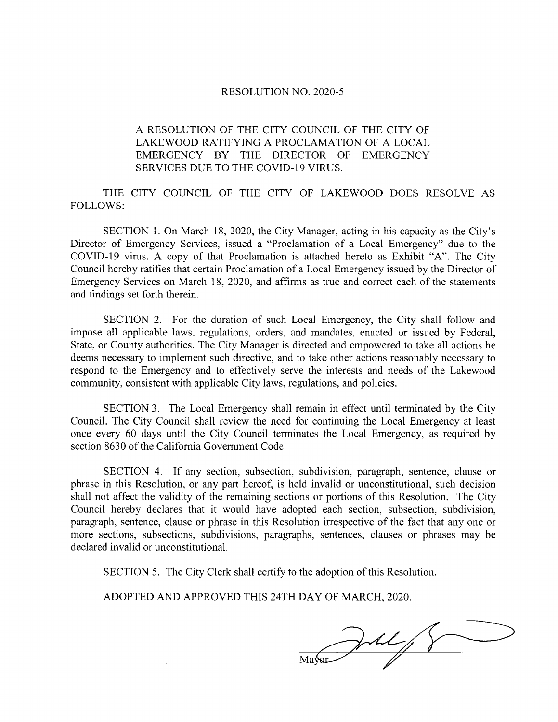## RESOLUTION NO. 2020-5

## A RESOLUTION OF THE CITY COUNCIL OF THE CITY OF LAKEWOOD RATIFYING A PROCLAMATION OF A LOCAL EMERGENCY BY THE DIRECTOR OF EMERGENCY SERVICES DUE TO THE COVID-19 VIRUS.

THE CITY COUNCIL OF THE CITY OF LAKEWOOD DOES RESOLVE AS FOLLOWS:

SECTION 1. On March 18, 2020, the City Manager, acting in his capacity as the City's Director of Emergency Services, issued a "Proclamation of a Local Emergency" due to the COVID-19 virus. A copy of that Proclamation is attached hereto as Exhibit "A". The City Council hereby ratifies that certain Proclamation of <sup>a</sup> Local Emergency issued by the Director of Emergency Services on March 18, 2020, and affirms as true and correct each of the statements and findings set forth therein.

SECTION 2. For the duration of such Local Emergency, the City shall follow and impose all applicable laws, regulations, orders, and mandates, enacted or issued by Federal, State, or County authorities. The City Manager is directed and empowered to take all actions he deems necessary to implement such directive, and to take other actions reasonably necessary to respond to the Emergency and to effectively serve the interests and needs of the Lakewood community, consistent with applicable City laws, regulations, and policies.

SECTION 3. The Local Emergency shall remain in effect until terminated by the City Council. The City Council shall review the need for continuing the Local Emergency at least once every 60 days until the City Council terminates the Local Emergency, as required by section 8630 of the California Government Code.

SECTION 4. If any section, subsection, subdivision, paragraph, sentence, clause or phrase in this Resolution, or any part hereof, is held invalid or unconstitutional, such decision shall not affect the validity of the remaining sections or portions of this Resolution. The City Council hereby declares that it would have adopted each section, subsection, subdivision, paragraph, sentence, clause or phrase in this Resolution irrespective of the fact that any one or more sections, subsections, subdivisions, paragraphs, sentences, clauses or phrases may be declared invalid or unconstitutional.

SECTION 5. The City Clerk shall certify to the adoption of this Resolution.

ADOPTED AND APPROVED THIS 24TH DAY OF MARCH, 2020.

Mayor July 8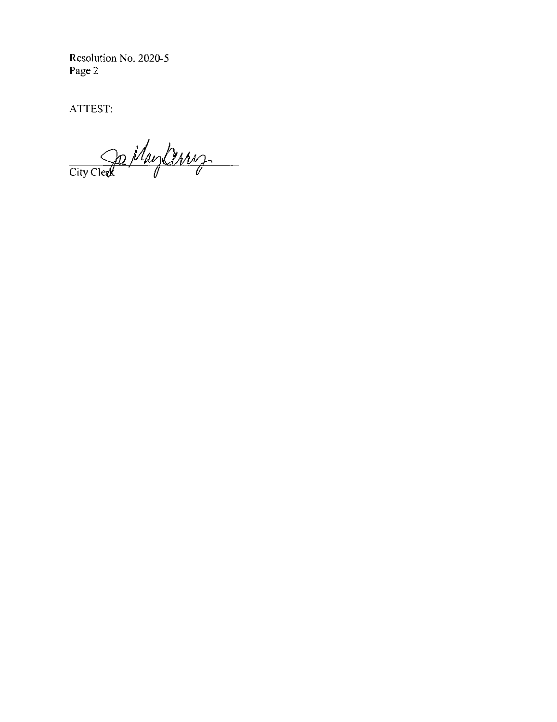Resolution No. 2020-5 Page 2

ATTEST:

City Clerk May Derry